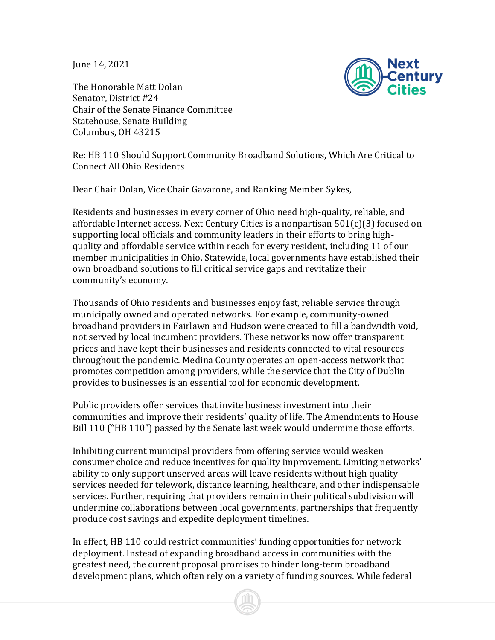June 14, 2021

The Honorable Matt Dolan



Senator, District #24 Chair of the Senate Finance Committee Statehouse, Senate Building Columbus, OH 43215

Re: HB 110 Should Support Community Broadband Solutions, Which Are Critical to Connect All Ohio Residents

Dear Chair Dolan, Vice Chair Gavarone, and Ranking Member Sykes,

Residents and businesses in every corner of Ohio need high-quality, reliable, and affordable Internet access. Next Century Cities is a nonpartisan 501(c)(3) focused on supporting local officials and community leaders in their efforts to bring highquality and affordable service within reach for every resident, including 11 of our member municipalities in Ohio. Statewide, local governments have established their own broadband solutions to fill critical service gaps and revitalize their community's economy.

Thousands of Ohio residents and businesses enjoy fast, reliable service through municipally owned and operated networks. For example, community-owned broadband providers in Fairlawn and Hudson were created to fill a bandwidth void, not served by local incumbent providers. These networks now offer transparent prices and have kept their businesses and residents connected to vital resources throughout the pandemic. Medina County operates an open-access network that promotes competition among providers, while the service that the City of Dublin provides to businesses is an essential tool for economic development.

Public providers offer services that invite business investment into their communities and improve their residents' quality of life. The Amendments to House Bill 110 ("HB 110") passed by the Senate last week would undermine those efforts.

Inhibiting current municipal providers from offering service would weaken consumer choice and reduce incentives for quality improvement. Limiting networks' ability to only support unserved areas will leave residents without high quality services needed for telework, distance learning, healthcare, and other indispensable services. Further, requiring that providers remain in their political subdivision will undermine collaborations between local governments, partnerships that frequently produce cost savings and expedite deployment timelines.

In effect, HB 110 could restrict communities' funding opportunities for network deployment. Instead of expanding broadband access in communities with the greatest need, the current proposal promises to hinder long-term broadband development plans, which often rely on a variety of funding sources. While federal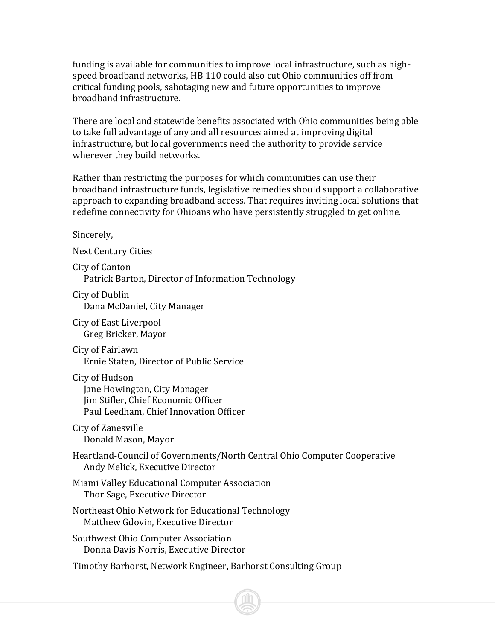funding is available for communities to improve local infrastructure, such as highspeed broadband networks, HB 110 could also cut Ohio communities off from critical funding pools, sabotaging new and future opportunities to improve broadband infrastructure.

There are local and statewide benefits associated with Ohio communities being able to take full advantage of any and all resources aimed at improving digital infrastructure, but local governments need the authority to provide service wherever they build networks.

Rather than restricting the purposes for which communities can use their broadband infrastructure funds, legislative remedies should support a collaborative approach to expanding broadband access. That requires inviting local solutions that redefine connectivity for Ohioans who have persistently struggled to get online.

Sincerely,

Next Century Cities

City of Canton Patrick Barton, Director of Information Technology

City of Dublin Dana McDaniel, City Manager

City of East Liverpool Greg Bricker, Mayor

City of Fairlawn Ernie Staten, Director of Public Service

City of Hudson Jane Howington, City Manager Jim Stifler, Chief Economic Officer Paul Leedham, Chief Innovation Officer

City of Zanesville Donald Mason, Mayor

Heartland-Council of Governments/North Central Ohio Computer Cooperative Andy Melick, Executive Director

Miami Valley Educational Computer Association Thor Sage, Executive Director

Northeast Ohio Network for Educational Technology Matthew Gdovin, Executive Director

Southwest Ohio Computer Association Donna Davis Norris, Executive Director

Timothy Barhorst, Network Engineer, Barhorst Consulting Group